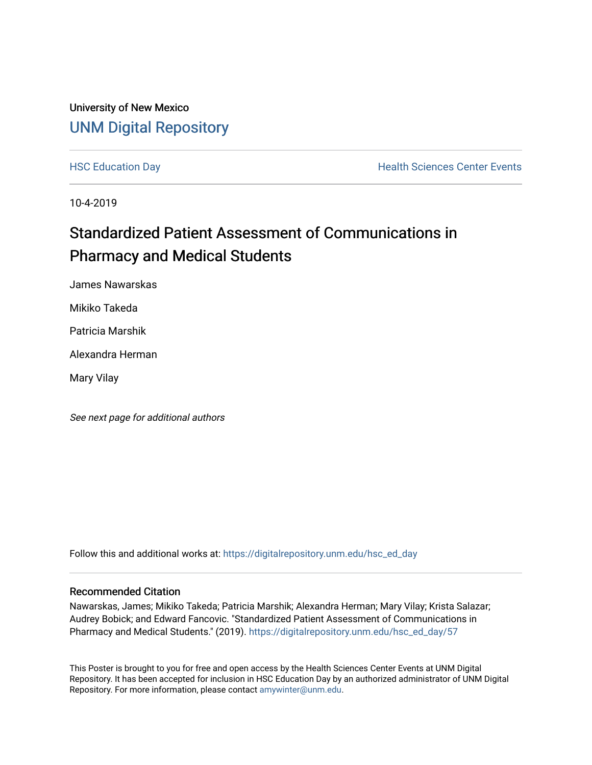#### University of New Mexico [UNM Digital Repository](https://digitalrepository.unm.edu/)

[HSC Education Day](https://digitalrepository.unm.edu/hsc_ed_day) **Health Sciences Center Events** 

10-4-2019

#### Standardized Patient Assessment of Communications in Pharmacy and Medical Students

James Nawarskas

Mikiko Takeda

Patricia Marshik

Alexandra Herman

Mary Vilay

See next page for additional authors

Follow this and additional works at: [https://digitalrepository.unm.edu/hsc\\_ed\\_day](https://digitalrepository.unm.edu/hsc_ed_day?utm_source=digitalrepository.unm.edu%2Fhsc_ed_day%2F57&utm_medium=PDF&utm_campaign=PDFCoverPages) 

#### Recommended Citation

Nawarskas, James; Mikiko Takeda; Patricia Marshik; Alexandra Herman; Mary Vilay; Krista Salazar; Audrey Bobick; and Edward Fancovic. "Standardized Patient Assessment of Communications in Pharmacy and Medical Students." (2019). [https://digitalrepository.unm.edu/hsc\\_ed\\_day/57](https://digitalrepository.unm.edu/hsc_ed_day/57?utm_source=digitalrepository.unm.edu%2Fhsc_ed_day%2F57&utm_medium=PDF&utm_campaign=PDFCoverPages) 

This Poster is brought to you for free and open access by the Health Sciences Center Events at UNM Digital Repository. It has been accepted for inclusion in HSC Education Day by an authorized administrator of UNM Digital Repository. For more information, please contact [amywinter@unm.edu](mailto:amywinter@unm.edu).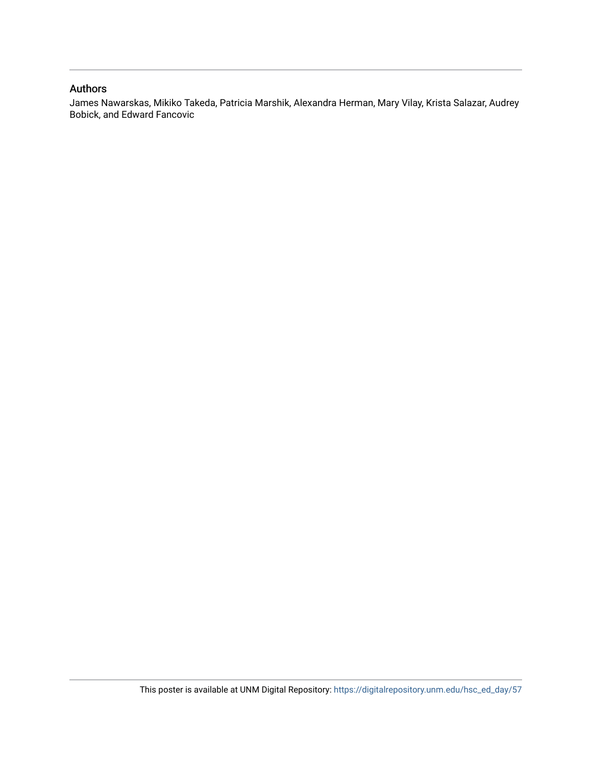#### Authors

James Nawarskas, Mikiko Takeda, Patricia Marshik, Alexandra Herman, Mary Vilay, Krista Salazar, Audrey Bobick, and Edward Fancovic